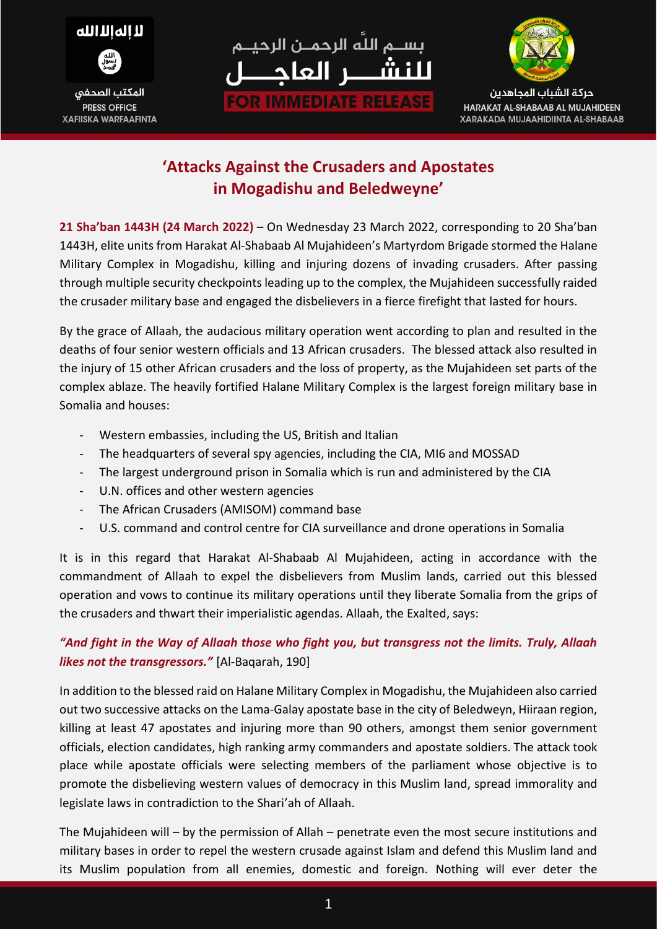



المكتب الصحفي **PRESS OFFICE XAFIISKA WARFAAFINTA** 





حركة الشباب المجاهدين HARAKAT AL-SHABAAB AL MUJAHIDEEN **XARAKADA MUJAAHIDIINTA AL-SHABAAB** 

## **'Attacks Against the Crusaders and Apostates in Mogadishu and Beledweyne'**

**21 Sha'ban 1443H (24 March 2022)** – On Wednesday 23 March 2022, corresponding to 20 Sha'ban 1443H, elite units from Harakat Al-Shabaab Al Mujahideen's Martyrdom Brigade stormed the Halane Military Complex in Mogadishu, killing and injuring dozens of invading crusaders. After passing through multiple security checkpoints leading up to the complex, the Mujahideen successfully raided the crusader military base and engaged the disbelievers in a fierce firefight that lasted for hours.

By the grace of Allaah, the audacious military operation went according to plan and resulted in the deaths of four senior western officials and 13 African crusaders. The blessed attack also resulted in the injury of 15 other African crusaders and the loss of property, as the Mujahideen set parts of the complex ablaze. The heavily fortified Halane Military Complex is the largest foreign military base in Somalia and houses:

- Western embassies, including the US, British and Italian
- The headquarters of several spy agencies, including the CIA, MI6 and MOSSAD
- The largest underground prison in Somalia which is run and administered by the CIA
- U.N. offices and other western agencies
- The African Crusaders (AMISOM) command base
- U.S. command and control centre for CIA surveillance and drone operations in Somalia

It is in this regard that Harakat Al-Shabaab Al Mujahideen, acting in accordance with the commandment of Allaah to expel the disbelievers from Muslim lands, carried out this blessed operation and vows to continue its military operations until they liberate Somalia from the grips of the crusaders and thwart their imperialistic agendas. Allaah, the Exalted, says:

## *"And fight in the Way of Allaah those who fight you, but transgress not the limits. Truly, Allaah likes not the transgressors."* [Al-Baqarah, 190]

In addition to the blessed raid on Halane Military Complex in Mogadishu, the Mujahideen also carried out two successive attacks on the Lama-Galay apostate base in the city of Beledweyn, Hiiraan region, killing at least 47 apostates and injuring more than 90 others, amongst them senior government officials, election candidates, high ranking army commanders and apostate soldiers. The attack took place while apostate officials were selecting members of the parliament whose objective is to promote the disbelieving western values of democracy in this Muslim land, spread immorality and legislate laws in contradiction to the Shari'ah of Allaah.

The Mujahideen will – by the permission of Allah – penetrate even the most secure institutions and military bases in order to repel the western crusade against Islam and defend this Muslim land and its Muslim population from all enemies, domestic and foreign. Nothing will ever deter the